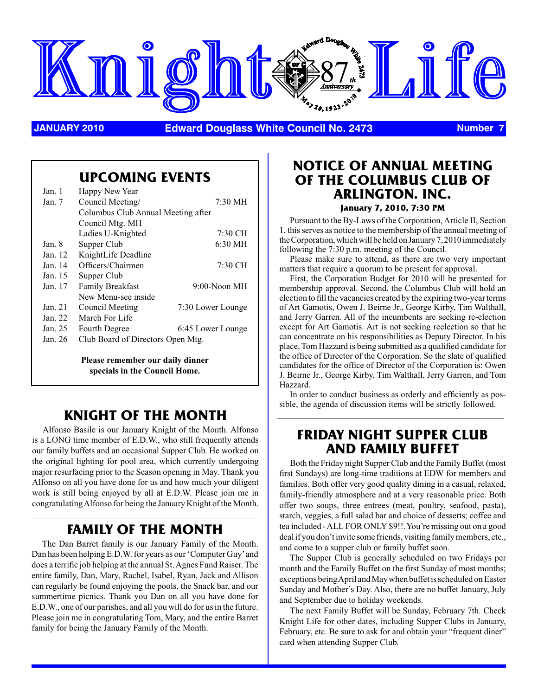

**JANUARY 2010 Edward Douglass White Council No. 2473 Number 7**

## **Upcoming Events**

| Jan. 1   | Happy New Year                     |                   |  |  |  |
|----------|------------------------------------|-------------------|--|--|--|
| Jan. $7$ | Council Meeting/                   | $7:30 \text{ MH}$ |  |  |  |
|          | Columbus Club Annual Meeting after |                   |  |  |  |
|          | Council Mtg. MH                    |                   |  |  |  |
|          | Ladies U-Knighted                  | 7:30 CH           |  |  |  |
| Jan. 8   | Supper Club                        | $6:30$ MH         |  |  |  |
| Jan. 12  | KnightLife Deadline                |                   |  |  |  |
| Jan. 14  | Officers/Chairmen                  | 7:30 CH           |  |  |  |
| Jan. 15  | Supper Club                        |                   |  |  |  |
| Jan. 17  | Family Breakfast                   | $9:00-N$ oon MH   |  |  |  |
|          | New Menu-see inside                |                   |  |  |  |
| Jan. 21  | Council Meeting                    | 7:30 Lower Lounge |  |  |  |
| Jan. 22  | March For Life                     |                   |  |  |  |
| Jan. 25  | Fourth Degree                      | 6:45 Lower Lounge |  |  |  |
| Jan. 26  | Club Board of Directors Open Mtg.  |                   |  |  |  |
|          |                                    |                   |  |  |  |

**Please remember our daily dinner specials in the Council Home.**

## **Knight of the Month**

Alfonso Basile is our January Knight of the Month. Alfonso is a LONG time member of E.D.W., who still frequently attends our family buffets and an occasional Supper Club. He worked on the original lighting for pool area, which currently undergoing major resurfacing prior to the Season opening in May. Thank you Alfonso on all you have done for us and how much your diligent work is still being enjoyed by all at E.D.W. Please join me in congratulating Alfonso for being the January Knight of the Month.

### **Family of the Month**

The Dan Barret family is our January Family of the Month. Dan has been helping E.D.W. for years as our 'Computer Guy' and does a terrific job helping at the annual St. Agnes Fund Raiser. The entire family, Dan, Mary, Rachel, Isabel, Ryan, Jack and Allison can regularly be found enjoying the pools, the Snack bar, and our summertime picnics. Thank you Dan on all you have done for E.D.W., one of our parishes, and all you will do for us in the future. Please join me in congratulating Tom, Mary, and the entire Barret family for being the January Family of the Month.

#### **Notice of Annual Meeting of the Columbus Club of Arlington. Inc. January 7, 2010, 7:30 PM**

Pursuant to the By-Laws of the Corporation, Article II, Section 1, this serves as notice to the membership of the annual meeting of the Corporation, which will be held on January 7, 2010 immediately following the 7:30 p.m. meeting of the Council.

Please make sure to attend, as there are two very important matters that require a quorum to be present for approval.

First, the Corporation Budget for 2010 will be presented for membership approval. Second, the Columbus Club will hold an election to fill the vacancies created by the expiring two-year terms of Art Gamotis, Owen J. Beirne Jr., George Kirby, Tim Walthall, and Jerry Garren. All of the incumbents are seeking re-election except for Art Gamotis. Art is not seeking reelection so that he can concentrate on his responsibilities as Deputy Director. In his place, Tom Hazzard is being submitted as a qualified candidate for the office of Director of the Corporation. So the slate of qualified candidates for the office of Director of the Corporation is: Owen J. Beirne Jr., George Kirby, Tim Walthall, Jerry Garren, and Tom Hazzard.

In order to conduct business as orderly and efficiently as possible, the agenda of discussion items will be strictly followed.

### **FRIDAY NIGHT SUPPER CLUB AND FAMILY BUFFET**

Both the Friday night Supper Club and the Family Buffet (most first Sundays) are long-time traditions at EDW for members and families. Both offer very good quality dining in a casual, relaxed, family-friendly atmosphere and at a very reasonable price. Both offer two soups, three entrees (meat, poultry, seafood, pasta), starch, veggies, a full salad bar and choice of desserts; coffee and tea included - ALL FOR ONLY \$9!!. You're missing out on a good deal if you don't invite some friends, visiting family members, etc., and come to a supper club or family buffet soon.

The Supper Club is generally scheduled on two Fridays per month and the Family Buffet on the first Sunday of most months; exceptions being April and May when buffet is scheduled on Easter Sunday and Mother's Day. Also, there are no buffet January, July and September due to holiday weekends.

The next Family Buffet will be Sunday, February 7th. Check Knight Life for other dates, including Supper Clubs in January, February, etc. Be sure to ask for and obtain your "frequent diner" card when attending Supper Club.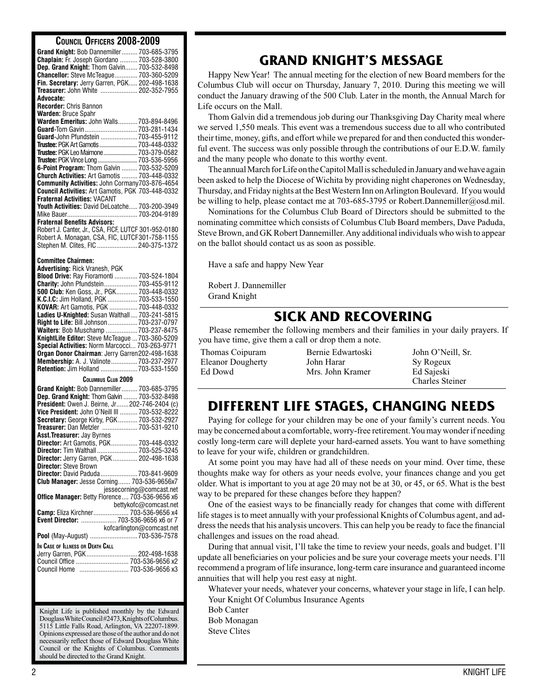#### **Council Officers 2008-2009**

| UVUNUIL UFFIUENJ ŁUUU <sup>-</sup> ŁUUJ              |                           |
|------------------------------------------------------|---------------------------|
| Grand Knight: Bob Dannemiller 703-685-3795           |                           |
| Chaplain: Fr. Joseph Giordano  703-528-3800          |                           |
|                                                      |                           |
| Dep. Grand Knight: Thom Galvin 703-532-8498          |                           |
| Chancellor: Steve McTeague 703-360-5209              |                           |
| Fin. Secretary: Jerry Garren, PGK 202-498-1638       |                           |
|                                                      |                           |
| Treasurer: John White  202-352-7955                  |                           |
| Advocate:                                            |                           |
| <b>Recorder: Chris Bannon</b>                        |                           |
|                                                      |                           |
| <b>Warden: Bruce Spahr</b>                           |                           |
| Warden Emeritus: John Walls 703-894-8496             |                           |
| Guard-Tom Gavin 703-281-1434                         |                           |
|                                                      |                           |
| Guard-John Pfundstein  703-455-9112                  |                           |
| Trustee: PGK Art Gamotis  703-448-0332               |                           |
| <b>Trustee: PGK Leo Maimone  703-379-0582</b>        |                           |
|                                                      |                           |
| Trustee: PGK Vince Long  703-536-5956                |                           |
| 6-Point Program: Thom Galvin  703-532-5209           |                           |
| <b>Church Activities: Art Gamotis  703-448-0332</b>  |                           |
| Community Activities: John Cormany703-876-4654       |                           |
|                                                      |                           |
| Council Activities: Art Gamotis, PGK 703-448-0332    |                           |
| <b>Fraternal Activities: VACANT</b>                  |                           |
| Youth Activities: David DeLoatche 703-200-3949       |                           |
|                                                      |                           |
|                                                      |                           |
| <b>Fraternal Benefits Advisors:</b>                  |                           |
| Robert J. Canter, Jr., CSA, FICF, LUTCF 301-952-0180 |                           |
|                                                      |                           |
| Robert A. Monagan, CSA, FIC, LUTCF301-758-1155       |                           |
| Stephen M. Clites. FIC  240-375-1372                 |                           |
|                                                      |                           |
|                                                      |                           |
| <b>Committee Chairmen:</b>                           |                           |
| Advertising: Rick Vranesh, PGK                       |                           |
| Blood Drive: Ray Fioramonti  703-524-1804            |                           |
| Charity: John Pfundstein 703-455-9112                |                           |
|                                                      |                           |
| 500 Club: Ken Goss, Jr., PGK 703-448-0332            |                           |
| K.C.I.C: Jim Holland, PGK  703-533-1550              |                           |
| KOVAR: Art Gamotis, PGK  703-448-0332                |                           |
|                                                      |                           |
| Ladies U-Knighted: Susan Walthall 703-241-5815       |                           |
| Right to Life: Bill Johnson 703-237-0797             |                           |
|                                                      |                           |
|                                                      |                           |
| Waiters: Bob Muschamp  703-237-8475                  |                           |
| KnightLife Editor: Steve McTeague  703-360-5209      |                           |
|                                                      |                           |
| Special Activities: Norm Marcocci 703-263-9771       |                           |
| Organ Donor Chairman: Jerry Garren202-498-1638       |                           |
| Membership: A. J. Valinote 703-237-2977              |                           |
|                                                      |                           |
| Retention: Jim Holland  703-533-1550                 |                           |
| COLUMBUS CLUB 2009                                   |                           |
|                                                      |                           |
| Grand Knight: Bob Dannemiller 703-685-3795           |                           |
| Dep. Grand Knight: Thom Galvin  703-532-8498         |                           |
| President: Owen J. Beirne, Jr202-746-2404 (c)        |                           |
|                                                      |                           |
| Vice President: John O'Neill III  703-532-8222       |                           |
| Secretary: George Kirby, PGK 703-532-2927            |                           |
| Treasurer: Dan Metzler  703-531-9210                 |                           |
|                                                      |                           |
| Asst. Treasurer: Jay Byrnes                          |                           |
| Director: Art Gamotis, PGK 703-448-0332              |                           |
| Director: Tim Walthall  703-525-3245                 |                           |
| Director: Jerry Garren, PGK  202-498-1638            |                           |
|                                                      |                           |
| Director: Steve Brown                                |                           |
| Director: David Paduda  703-841-9609                 |                           |
| Club Manager: Jesse Corning 703-536-9656x7           |                           |
|                                                      |                           |
|                                                      | jessecorning@comcast.net  |
| Office Manager: Betty Florence 703-536-9656 x6       |                           |
|                                                      | bettykofc@comcast.net     |
| Camp: Eliza Kirchner 703-536-9656 x4                 |                           |
|                                                      |                           |
| Event Director:  703-536-9656 x6 or 7                |                           |
|                                                      | kofcarlington@comcast.net |
|                                                      |                           |
|                                                      |                           |
| In Case of Illness or Death Call                     |                           |
| Jerry Garren, PGK 202-498-1638                       |                           |
|                                                      |                           |
| Council Office  703-536-9656 x2                      |                           |
| Council Home                                         |                           |
|                                                      |                           |
|                                                      |                           |
|                                                      |                           |
|                                                      |                           |
|                                                      |                           |
| Knight Life is published monthly by the Edward       |                           |

Douglass White Council #2473, Knights of Columbus. 5115 Little Falls Road, Arlington, VA 22207-1899. Opinions expressed are those of the author and do not necessarily reflect those of Edward Douglass White Council or the Knights of Columbus. Comments should be directed to the Grand Knight.

### **GRAND KNIGHT'S MESSAGE**

Happy New Year! The annual meeting for the election of new Board members for the Columbus Club will occur on Thursday, January 7, 2010. During this meeting we will conduct the January drawing of the 500 Club. Later in the month, the Annual March for Life occurs on the Mall.

Thom Galvin did a tremendous job during our Thanksgiving Day Charity meal where we served 1,550 meals. This event was a tremendous success due to all who contributed their time, money, gifts, and effort while we prepared for and then conducted this wonderful event. The success was only possible through the contributions of our E.D.W. family and the many people who donate to this worthy event.

The annual March for Life on the Capitol Mall is scheduled in January and we have again been asked to help the Diocese of Wichita by providing night chaperones on Wednesday, Thursday, and Friday nights at the Best Western Inn on Arlington Boulevard. If you would be willing to help, please contact me at 703-685-3795 or Robert.Dannemiller@osd.mil.

Nominations for the Columbus Club Board of Directors should be submitted to the nominating committee which consists of Columbus Club Board members, Dave Paduda, Steve Brown, and GK Robert Dannemiller. Any additional individuals who wish to appear on the ballot should contact us as soon as possible.

Have a safe and happy New Year

Robert J. Dannemiller Grand Knight

### **SICK AND RECOVERING**

Please remember the following members and their families in your daily prayers. If you have time, give them a call or drop them a note.

Thomas Coipuram Eleanor Dougherty Ed Dowd

Bernie Edwartoski John Harar Mrs. John Kramer

John O'Neill, Sr. Sy Rogeux Ed Sajeski Charles Steiner

## **Different life stages, changing needs**

Paying for college for your children may be one of your family's current needs. You may be concerned about a comfortable, worry-free retirement. You may wonder if needing costly long-term care will deplete your hard-earned assets. You want to have something to leave for your wife, children or grandchildren.

At some point you may have had all of these needs on your mind. Over time, these thoughts make way for others as your needs evolve, your finances change and you get older. What is important to you at age 20 may not be at 30, or 45, or 65. What is the best way to be prepared for these changes before they happen?

One of the easiest ways to be financially ready for changes that come with different life stages is to meet annually with your professional Knights of Columbus agent, and address the needs that his analysis uncovers. This can help you be ready to face the financial challenges and issues on the road ahead.

During that annual visit, I'll take the time to review your needs, goals and budget. I'll update all beneficiaries on your policies and be sure your coverage meets your needs. I'll recommend a program of life insurance, long-term care insurance and guaranteed income annuities that will help you rest easy at night.

Whatever your needs, whatever your concerns, whatever your stage in life, I can help. Your Knight Of Columbus Insurance Agents Bob Canter

Bob Monagan Steve Clites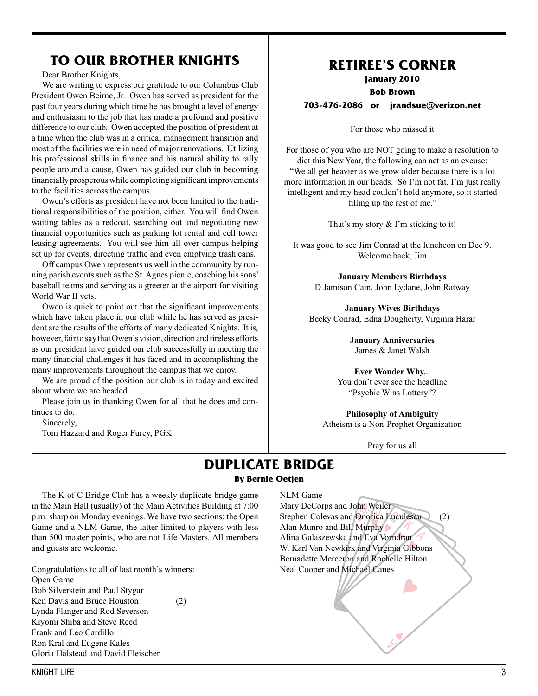### **To Our Brother Knights**

Dear Brother Knights,

We are writing to express our gratitude to our Columbus Club President Owen Beirne, Jr. Owen has served as president for the past four years during which time he has brought a level of energy and enthusiasm to the job that has made a profound and positive difference to our club. Owen accepted the position of president at a time when the club was in a critical management transition and most of the facilities were in need of major renovations. Utilizing his professional skills in finance and his natural ability to rally people around a cause, Owen has guided our club in becoming financially prosperous while completing significant improvements to the facilities across the campus.

Owen's efforts as president have not been limited to the traditional responsibilities of the position, either. You will find Owen waiting tables as a redcoat, searching out and negotiating new financial opportunities such as parking lot rental and cell tower leasing agreements. You will see him all over campus helping set up for events, directing traffic and even emptying trash cans.

Off campus Owen represents us well in the community by running parish events such as the St. Agnes picnic, coaching his sons' baseball teams and serving as a greeter at the airport for visiting World War II vets.

Owen is quick to point out that the significant improvements which have taken place in our club while he has served as president are the results of the efforts of many dedicated Knights. It is, however, fair to say that Owen's vision, direction and tireless efforts as our president have guided our club successfully in meeting the many financial challenges it has faced and in accomplishing the many improvements throughout the campus that we enjoy.

We are proud of the position our club is in today and excited about where we are headed.

Please join us in thanking Owen for all that he does and continues to do.

Sincerely,

Tom Hazzard and Roger Furey, PGK

### **RETIREE'S CORNER**

**January 2010**

**Bob Brown**

**703-476-2086 or jrandsue@verizon.net**

For those who missed it

For those of you who are NOT going to make a resolution to diet this New Year, the following can act as an excuse: "We all get heavier as we grow older because there is a lot more information in our heads. So I'm not fat, I'm just really intelligent and my head couldn't hold anymore, so it started filling up the rest of me."

That's my story  $&$  I'm sticking to it!

It was good to see Jim Conrad at the luncheon on Dec 9. Welcome back, Jim

> **January Members Birthdays** D Jamison Cain, John Lydane, John Ratway

**January Wives Birthdays** Becky Conrad, Edna Dougherty, Virginia Harar

> **January Anniversaries** James & Janet Walsh

**Ever Wonder Why...** You don't ever see the headline "Psychic Wins Lottery"?

**Philosophy of Ambiguity** Atheism is a Non-Prophet Organization

Pray for us all

#### **DUPLICATE BRIDGE By Bernie Oetjen**

The K of C Bridge Club has a weekly duplicate bridge game in the Main Hall (usually) of the Main Activities Building at 7:00 p.m. sharp on Monday evenings. We have two sections: the Open Game and a NLM Game, the latter limited to players with less than 500 master points, who are not Life Masters. All members and guests are welcome.

Congratulations to all of last month's winners: Open Game Bob Silverstein and Paul Stygar Ken Davis and Bruce Houston (2) Lynda Flanger and Rod Severson Kiyomi Shiba and Steve Reed Frank and Leo Cardillo Ron Kral and Eugene Kales Gloria Halstead and David Fleischer

#### NLM Game

Mary DeCorps and John Weiler Stephen Colevas and Onorica Luculescu (2) Alan Munro and Bill Murphy Alina Galaszewska and Eva Vorndran W. Karl Van Newkirk and Virginia Gibbons Bernadette Merceron and Rochelle Hilton Neal Cooper and Michael Canes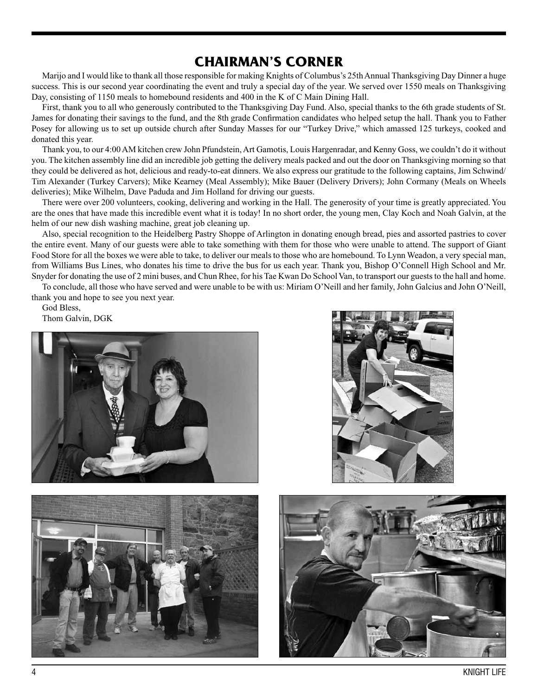### **CHAIRMAN'S CORNER**

Marijo and I would like to thank all those responsible for making Knights of Columbus's 25th Annual Thanksgiving Day Dinner a huge success. This is our second year coordinating the event and truly a special day of the year. We served over 1550 meals on Thanksgiving Day, consisting of 1150 meals to homebound residents and 400 in the K of C Main Dining Hall.

First, thank you to all who generously contributed to the Thanksgiving Day Fund. Also, special thanks to the 6th grade students of St. James for donating their savings to the fund, and the 8th grade Confirmation candidates who helped setup the hall. Thank you to Father Posey for allowing us to set up outside church after Sunday Masses for our "Turkey Drive," which amassed 125 turkeys, cooked and donated this year.

Thank you, to our 4:00 AM kitchen crew John Pfundstein, Art Gamotis, Louis Hargenradar, and Kenny Goss, we couldn't do it without you. The kitchen assembly line did an incredible job getting the delivery meals packed and out the door on Thanksgiving morning so that they could be delivered as hot, delicious and ready-to-eat dinners. We also express our gratitude to the following captains, Jim Schwind/ Tim Alexander (Turkey Carvers); Mike Kearney (Meal Assembly); Mike Bauer (Delivery Drivers); John Cormany (Meals on Wheels deliveries); Mike Wilhelm, Dave Paduda and Jim Holland for driving our guests.

There were over 200 volunteers, cooking, delivering and working in the Hall. The generosity of your time is greatly appreciated. You are the ones that have made this incredible event what it is today! In no short order, the young men, Clay Koch and Noah Galvin, at the helm of our new dish washing machine, great job cleaning up.

Also, special recognition to the Heidelberg Pastry Shoppe of Arlington in donating enough bread, pies and assorted pastries to cover the entire event. Many of our guests were able to take something with them for those who were unable to attend. The support of Giant Food Store for all the boxes we were able to take, to deliver our meals to those who are homebound. To Lynn Weadon, a very special man, from Williams Bus Lines, who donates his time to drive the bus for us each year. Thank you, Bishop O'Connell High School and Mr. Snyder for donating the use of 2 mini buses, and Chun Rhee, for his Tae Kwan Do School Van, to transport our guests to the hall and home.

To conclude, all those who have served and were unable to be with us: Miriam O'Neill and her family, John Galcius and John O'Neill, thank you and hope to see you next year.

God Bless,

Thom Galvin, DGK







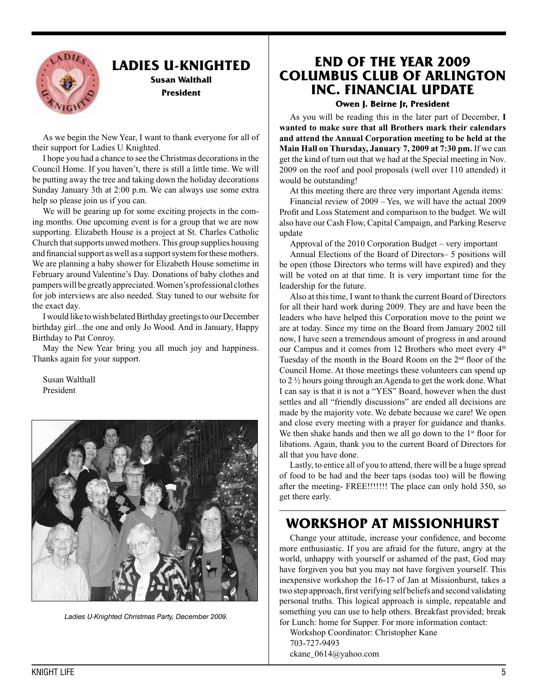

### **Ladies U-Knighted**

**Susan Walthall President** 

As we begin the New Year, I want to thank everyone for all of their support for Ladies U Knighted.

I hope you had a chance to see the Christmas decorations in the Council Home. If you haven't, there is still a little time. We will be putting away the tree and taking down the holiday decorations Sunday January 3th at 2:00 p.m. We can always use some extra help so please join us if you can.

We will be gearing up for some exciting projects in the coming months. One upcoming event is for a group that we are now supporting. Elizabeth House is a project at St. Charles Catholic Church that supports unwed mothers. This group supplies housing and financial support as well as a support system for these mothers. We are planning a baby shower for Elizabeth House sometime in February around Valentine's Day. Donations of baby clothes and pampers will be greatly appreciated. Women's professional clothes for job interviews are also needed. Stay tuned to our website for the exact day.

I would like to wish belated Birthday greetings to our December birthday girl...the one and only Jo Wood. And in January, Happy Birthday to Pat Conroy.

May the New Year bring you all much joy and happiness. Thanks again for your support.

Susan Walthall President



*Ladies U-Knighted Christmas Party, December 2009.*

### **End of the year 2009 Columbus Club of Arlington Inc. Financial Update**

**Owen J. Beirne Jr, President**

As you will be reading this in the later part of December, **I wanted to make sure that all Brothers mark their calendars and attend the Annual Corporation meeting to be held at the Main Hall on Thursday, January 7, 2009 at 7:30 pm.** If we can get the kind of turn out that we had at the Special meeting in Nov. 2009 on the roof and pool proposals (well over 110 attended) it would be outstanding!

At this meeting there are three very important Agenda items:

Financial review of 2009 – Yes, we will have the actual 2009 Profit and Loss Statement and comparison to the budget. We will also have our Cash Flow, Capital Campaign, and Parking Reserve update

Approval of the 2010 Corporation Budget – very important

Annual Elections of the Board of Directors– 5 positions will be open (those Directors who terms will have expired) and they will be voted on at that time. It is very important time for the leadership for the future.

Also at this time, I want to thank the current Board of Directors for all their hard work during 2009. They are and have been the leaders who have helped this Corporation move to the point we are at today. Since my time on the Board from January 2002 till now, I have seen a tremendous amount of progress in and around our Campus and it comes from 12 Brothers who meet every 4<sup>th</sup> Tuesday of the month in the Board Room on the 2<sup>nd</sup> floor of the Council Home. At those meetings these volunteers can spend up to 2 ½ hours going through an Agenda to get the work done. What I can say is that it is not a "YES" Board, however when the dust settles and all "friendly discussions" are ended all decisions are made by the majority vote. We debate because we care! We open and close every meeting with a prayer for guidance and thanks. We then shake hands and then we all go down to the  $1<sup>st</sup>$  floor for libations. Again, thank you to the current Board of Directors for all that you have done.

Lastly, to entice all of you to attend, there will be a huge spread of food to be had and the beer taps (sodas too) will be flowing after the meeting- FREE!!!!!!! The place can only hold 350, so get there early.

### **Workshop at Missionhurst**

Change your attitude, increase your confidence, and become more enthusiastic. If you are afraid for the future, angry at the world, unhappy with yourself or ashamed of the past, God may have forgiven you but you may not have forgiven yourself. This inexpensive workshop the 16-17 of Jan at Missionhurst, takes a two step approach, first verifying self beliefs and second validating personal truths. This logical approach is simple, repeatable and something you can use to help others. Breakfast provided; break for Lunch: home for Supper. For more information contact:

Workshop Coordinator: Christopher Kane 703-727-9493 ckane\_0614@yahoo.com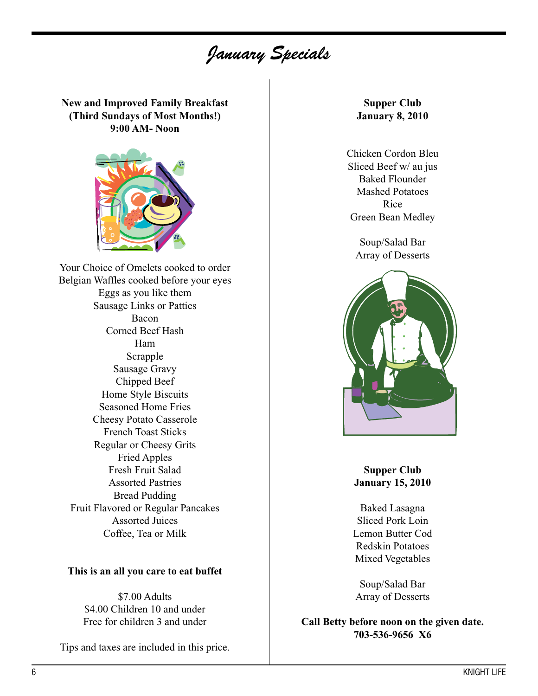# *January Specials*

**New and Improved Family Breakfast (Third Sundays of Most Months!) 9:00 AM- Noon**



Your Choice of Omelets cooked to order Belgian Waffles cooked before your eyes Eggs as you like them Sausage Links or Patties Bacon Corned Beef Hash Ham Scrapple Sausage Gravy Chipped Beef Home Style Biscuits Seasoned Home Fries Cheesy Potato Casserole French Toast Sticks Regular or Cheesy Grits Fried Apples Fresh Fruit Salad Assorted Pastries Bread Pudding Fruit Flavored or Regular Pancakes Assorted Juices Coffee, Tea or Milk

#### **This is an all you care to eat buffet**

\$7.00 Adults \$4.00 Children 10 and under Free for children 3 and under

Tips and taxes are included in this price.

**Supper Club January 8, 2010**

Chicken Cordon Bleu Sliced Beef w/ au jus Baked Flounder Mashed Potatoes Rice Green Bean Medley

Soup/Salad Bar Array of Desserts



#### **Supper Club January 15, 2010**

Baked Lasagna Sliced Pork Loin Lemon Butter Cod Redskin Potatoes Mixed Vegetables

Soup/Salad Bar Array of Desserts

**Call Betty before noon on the given date. 703-536-9656 X6**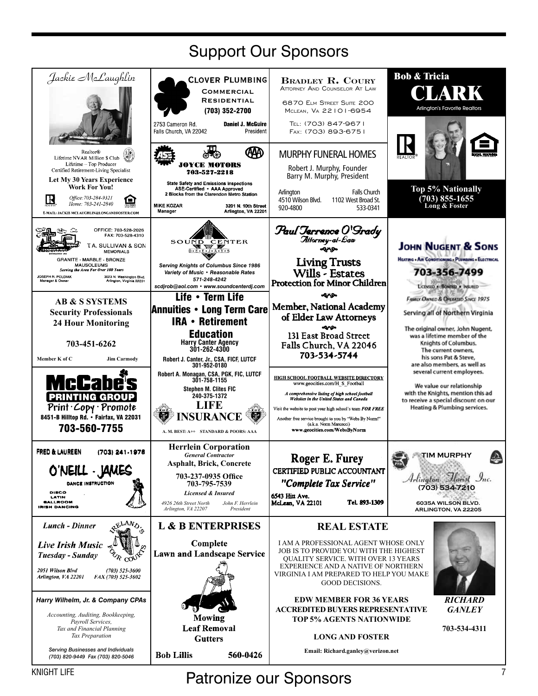| <b>Support Our Sponsors</b>                                                                                                                                                                                                                                                       |                                                                                                                                                                                                                                                       |                                                                                                                                                                                                                                                                                                                                                           |                                                                                                                                                                      |  |  |  |  |  |
|-----------------------------------------------------------------------------------------------------------------------------------------------------------------------------------------------------------------------------------------------------------------------------------|-------------------------------------------------------------------------------------------------------------------------------------------------------------------------------------------------------------------------------------------------------|-----------------------------------------------------------------------------------------------------------------------------------------------------------------------------------------------------------------------------------------------------------------------------------------------------------------------------------------------------------|----------------------------------------------------------------------------------------------------------------------------------------------------------------------|--|--|--|--|--|
| Jackie McLaughlin                                                                                                                                                                                                                                                                 | <b>CLOVER PLUMBING</b><br><b>COMMERCIAL</b><br><b>RESIDENTIAL</b><br>(703) 352-2700<br><b>Daniel J. McGuire</b><br>2753 Cameron Rd.<br>President<br>Falls Church, VA 22042                                                                            | <b>BRADLEY R. COURY</b><br>ATTORNEY AND COUNSELOR AT LAW<br>6870 ELM STREET SUITE 200<br>MCLEAN, VA 22101-6954<br>TEL: (703) 847-9671<br>FAX: (703) 893-6751                                                                                                                                                                                              | <b>Bob &amp; Tricia</b><br>OLARK<br><b>Arlington's Favorite Realtors</b>                                                                                             |  |  |  |  |  |
| Realtor <sup>®</sup><br>Lifetime NVAR Million \$ Club<br>Lifetime - Top Producer<br>Certified Retirement-Living Specialist<br><b>Let My 30 Years Experience</b><br><b>Work For You!</b>                                                                                           | ₩<br>OYCE MOTORS<br>703-527-2218<br><b>State Safety and Emissions Inspections</b><br>ASE-Certified . AAA Approved                                                                                                                                     | <b>MURPHY FUNERAL HOMES</b><br>Robert J. Murphy, Founder<br>Barry M. Murphy, President                                                                                                                                                                                                                                                                    | Top 5% Nationally                                                                                                                                                    |  |  |  |  |  |
| Office: 703-284-9321<br>$\mathbf R$<br>Θ<br>Home: 703-241-2840<br>E-MAIL: JACKIE MCLAUGBLIN@LONGANDFOSTER.COM                                                                                                                                                                     | 2 Blocks from the Clarendon Metro Station<br><b>MIKE KOZAR</b><br>3201 N. 10th Street<br>Manager<br>Arlington, VA 22201                                                                                                                               | <b>Falls Church</b><br>Arlington<br>4510 Wilson Blvd.<br>1102 West Broad St.<br>920-4800<br>533-0341                                                                                                                                                                                                                                                      | (703) 855-1655<br>Long & Foster                                                                                                                                      |  |  |  |  |  |
| OFFICE: 703-528-2026<br>FAX: 703-528-4310<br><b>TA. SULLIVAN &amp; SON</b><br><b>MEMORIALS</b><br>GRANITE - MARBLE - BRONZE<br>MAUSOLEUMS<br>Serving the Area For Over 100 Years<br>JOSEPH B. POLDIAK<br>3023 N. Washington Blvd.<br>Arlington, Virginia 22201<br>Manager & Owner | SOUND CENTER<br>D-E-E-U-A-Y-S<br><b>Serving Knights of Columbus Since 1986</b><br>Variety of Music • Reasonable Rates<br>571-248-4242<br>scdjrob@aol.com · www.soundcenterdj.com                                                                      | Paul Terrence O'Srady<br>Allorney-al-Baw<br>موبه<br><b>Living Trusts</b><br>Wills - Estates<br><b>Protection for Minor Children</b>                                                                                                                                                                                                                       | <b>JOHN NUGENT &amp; SONS</b><br>HEATING . AIR CONDITIONING . PLUMBING . ELECTRICAL<br>703-356-7499<br>LICENSED & BONDED . INSURED                                   |  |  |  |  |  |
| <b>AB &amp; S SYSTEMS</b><br><b>Security Professionals</b><br><b>24 Hour Monitoring</b>                                                                                                                                                                                           | Life • Term Life<br><b>Annuities • Long Term Care</b><br><b>IRA • Retirement</b><br><b>Education</b>                                                                                                                                                  | يوبه<br><b>Member, National Academy</b><br>of Elder Law Attorneys<br>مومه<br>131 East Broad Street                                                                                                                                                                                                                                                        | FAMILY OWNED & OPERATED SINCE 1975<br>Serving all of Northern Virginia<br>The original owner, John Nugent,                                                           |  |  |  |  |  |
| 703-451-6262<br>Member K of C<br><b>Jim Carmody</b>                                                                                                                                                                                                                               | <b>Harry Canter Agency</b><br>301-262-4300<br>Robert J. Canter, Jr., CSA, FICF, LUTCF                                                                                                                                                                 | Falls Church, VA 22046<br>703-534-5744                                                                                                                                                                                                                                                                                                                    | was a lifetime member of the<br>Knights of Columbus.<br>The current owners,<br>his sons Pat & Steve,<br>are also members, as well as                                 |  |  |  |  |  |
| McCabe<br><b>PRINTING GROUP</b><br>Print · Copy · Promote<br>8451-B Hilltop Rd. • Fairfax, VA 22031<br>703-560-7755                                                                                                                                                               | 301-952-0180<br>Robert A. Monagan, CSA, PGK, FIC, LUTCF<br>301-758-1155<br><b>Stephen M. Clites FIC</b><br>240-375-1372<br><b>LIFE</b><br><b>NSURANCE</b><br>A. M. BEST: A++ STANDARD & POORS: AAA                                                    | HIGH SCHOOL FOOTBALL WEBSITE DIRECTORY<br>www.geocities.com/H S Football<br>A comprehensive listing of high school football<br>Websites in the United States and Canada<br>Visit the website to post your high school's team FOR FREE<br>Another free service brought to you by "Webs By Norm!"<br>(a.k.a. Norm Marcocci)<br>www.geocities.com/WebsByNorm | several current employees.<br>We value our relationship<br>with the Knights, mention this ad<br>to receive a special discount on our<br>Heating & Plumbing services. |  |  |  |  |  |
| FRED & LAUREEN<br>(703) 241-1978<br>O'NEILL - JAMES<br><b>DANCE INSTRUCTION</b><br>DISCO<br>LATIN<br>BALLROOM<br><b>IRISH DANCING</b>                                                                                                                                             | <b>Herrlein Corporation</b><br><b>General Contractor</b><br><b>Asphalt, Brick, Concrete</b><br>703-237-0935 Office<br>703-795-7539<br><b>Licensed &amp; Insured</b><br>4926 26th Street North<br>John F. Herrlein<br>President<br>Arlington, VA 22207 | Roger E. Furey<br>CERTIFIED PUBLIC ACCOUNTANT<br>"Complete Tax Service"<br>6543 Hin Ave.<br>Tel. 893-1309<br>McLean, VA 22101                                                                                                                                                                                                                             | <b>TIM MURPHY</b><br>Arlington Horist Inc.<br>(703) 534-7210<br>6035A WILSON BLVD.<br>ARLINGTON, VA 22205                                                            |  |  |  |  |  |
| ELAND.<br>Lunch - Dinner<br><b>Live Irish Music</b><br>Tuesday - Sunday<br>2051 Wilson Blvd<br>$(703)$ 525-3600<br>FAX (703) 525-3602<br>Arlington, VA 22201                                                                                                                      | <b>L &amp; B ENTERPRISES</b><br>Complete<br><b>Lawn and Landscape Service</b>                                                                                                                                                                         | <b>REAL ESTATE</b><br><b>I AM A PROFESSIONAL AGENT WHOSE ONLY</b><br>JOB IS TO PROVIDE YOU WITH THE HIGHEST<br><b>QUALITY SERVICE. WITH OVER 13 YEARS</b><br>EXPERIENCE AND A NATIVE OF NORTHERN<br>VIRGINIA I AM PREPARED TO HELP YOU MAKE<br><b>GOOD DECISIONS.</b>                                                                                     |                                                                                                                                                                      |  |  |  |  |  |
| Harry Wilhelm, Jr. & Company CPAs<br>Accounting, Auditing, Bookkeeping,<br>Payroll Services,<br>Tax and Financial Planning<br>Tax Preparation                                                                                                                                     | <b>Mowing</b><br><b>Leaf Removal</b><br><b>Gutters</b>                                                                                                                                                                                                | <b>EDW MEMBER FOR 36 YEARS</b><br><b>ACCREDITED BUYERS REPRESENTATIVE</b><br><b>TOP 5% AGENTS NATIONWIDE</b><br><b>LONG AND FOSTER</b>                                                                                                                                                                                                                    | <b>RICHARD</b><br><b>GANLEY</b><br>703-534-4311                                                                                                                      |  |  |  |  |  |
| Serving Businesses and Individuals<br>(703) 820-9449 Fax (703) 820-5046                                                                                                                                                                                                           | <b>Bob Lillis</b><br>560-0426                                                                                                                                                                                                                         | Email: Richard.ganley@verizon.net                                                                                                                                                                                                                                                                                                                         |                                                                                                                                                                      |  |  |  |  |  |

KNIGHT LIFE **Patronize our Sponsors Patronize our Sponsors**